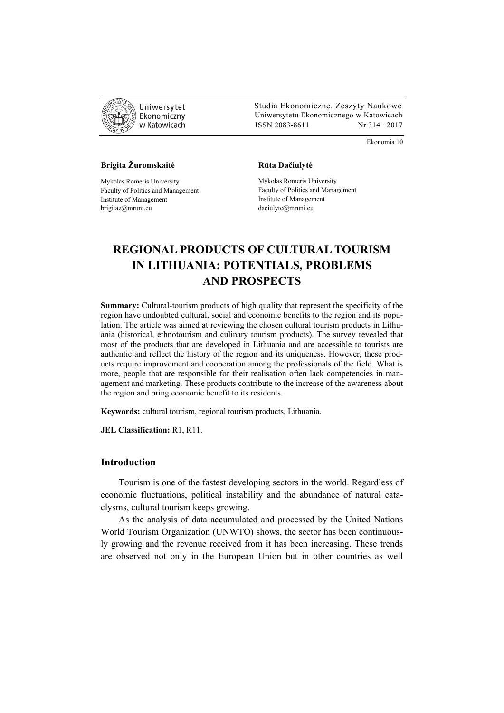

 Studia Ekonomiczne. Zeszyty Naukowe Ekonomiczny Uniwersytetu Ekonomicznego w Katowicach w Katowicach Matsus (ISSN 2083-8611 Nr 314 · 2017

Ekonomia 10

## **Brigita Žuromskaitė**

Mykolas Romeris University Faculty of Politics and Management Institute of Management brigitaz@mruni.eu

#### **Rūta Dačiulytė**

Mykolas Romeris University Faculty of Politics and Management Institute of Management daciulyte@mruni.eu

# **REGIONAL PRODUCTS OF CULTURAL TOURISM IN LITHUANIA: POTENTIALS, PROBLEMS AND PROSPECTS**

**Summary:** Cultural-tourism products of high quality that represent the specificity of the region have undoubted cultural, social and economic benefits to the region and its population. The article was aimed at reviewing the chosen cultural tourism products in Lithuania (historical, ethnotourism and culinary tourism products). The survey revealed that most of the products that are developed in Lithuania and are accessible to tourists are authentic and reflect the history of the region and its uniqueness. However, these products require improvement and cooperation among the professionals of the field. What is more, people that are responsible for their realisation often lack competencies in management and marketing. These products contribute to the increase of the awareness about the region and bring economic benefit to its residents.

**Keywords:** cultural tourism, regional tourism products, Lithuania.

**JEL Classification:** R1, R11.

## **Introduction**

Tourism is one of the fastest developing sectors in the world. Regardless of economic fluctuations, political instability and the abundance of natural cataclysms, cultural tourism keeps growing.

As the analysis of data accumulated and processed by the United Nations World Tourism Organization (UNWTO) shows, the sector has been continuously growing and the revenue received from it has been increasing. These trends are observed not only in the European Union but in other countries as well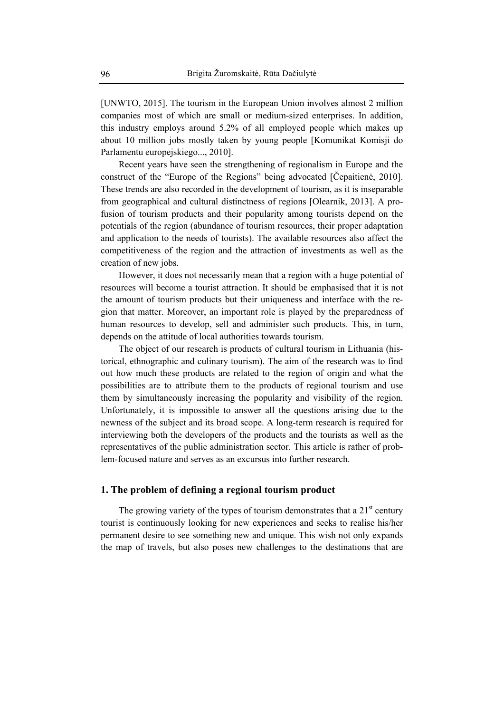[UNWTO, 2015]. The tourism in the European Union involves almost 2 million companies most of which are small or medium-sized enterprises. In addition, this industry employs around 5.2% of all employed people which makes up about 10 million jobs mostly taken by young people [Komunikat Komisji do Parlamentu europejskiego..., 2010].

Recent years have seen the strengthening of regionalism in Europe and the construct of the "Europe of the Regions" being advocated [Čepaitienė, 2010]. These trends are also recorded in the development of tourism, as it is inseparable from geographical and cultural distinctness of regions [Olearnik, 2013]. A profusion of tourism products and their popularity among tourists depend on the potentials of the region (abundance of tourism resources, their proper adaptation and application to the needs of tourists). The available resources also affect the competitiveness of the region and the attraction of investments as well as the creation of new jobs.

However, it does not necessarily mean that a region with a huge potential of resources will become a tourist attraction. It should be emphasised that it is not the amount of tourism products but their uniqueness and interface with the region that matter. Moreover, an important role is played by the preparedness of human resources to develop, sell and administer such products. This, in turn, depends on the attitude of local authorities towards tourism.

The object of our research is products of cultural tourism in Lithuania (historical, ethnographic and culinary tourism). The aim of the research was to find out how much these products are related to the region of origin and what the possibilities are to attribute them to the products of regional tourism and use them by simultaneously increasing the popularity and visibility of the region. Unfortunately, it is impossible to answer all the questions arising due to the newness of the subject and its broad scope. A long-term research is required for interviewing both the developers of the products and the tourists as well as the representatives of the public administration sector. This article is rather of problem-focused nature and serves as an excursus into further research.

## **1. The problem of defining a regional tourism product**

The growing variety of the types of tourism demonstrates that a  $21<sup>st</sup>$  century tourist is continuously looking for new experiences and seeks to realise his/her permanent desire to see something new and unique. This wish not only expands the map of travels, but also poses new challenges to the destinations that are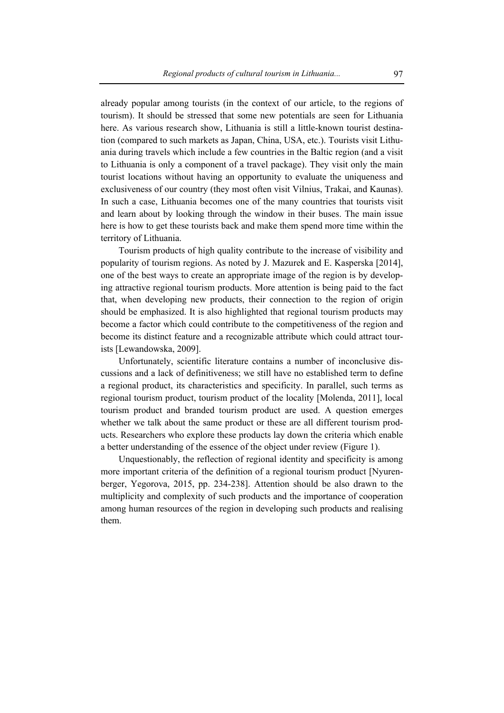already popular among tourists (in the context of our article, to the regions of tourism). It should be stressed that some new potentials are seen for Lithuania here. As various research show, Lithuania is still a little-known tourist destination (compared to such markets as Japan, China, USA, etc.). Tourists visit Lithuania during travels which include a few countries in the Baltic region (and a visit to Lithuania is only a component of a travel package). They visit only the main tourist locations without having an opportunity to evaluate the uniqueness and exclusiveness of our country (they most often visit Vilnius, Trakai, and Kaunas). In such a case, Lithuania becomes one of the many countries that tourists visit and learn about by looking through the window in their buses. The main issue here is how to get these tourists back and make them spend more time within the territory of Lithuania.

Tourism products of high quality contribute to the increase of visibility and popularity of tourism regions. As noted by J. Mazurek and E. Kasperska [2014], one of the best ways to create an appropriate image of the region is by developing attractive regional tourism products. More attention is being paid to the fact that, when developing new products, their connection to the region of origin should be emphasized. It is also highlighted that regional tourism products may become a factor which could contribute to the competitiveness of the region and become its distinct feature and a recognizable attribute which could attract tourists [Lewandowska, 2009].

Unfortunately, scientific literature contains a number of inconclusive discussions and a lack of definitiveness; we still have no established term to define a regional product, its characteristics and specificity. In parallel, such terms as regional tourism product, tourism product of the locality [Molenda, 2011], local tourism product and branded tourism product are used. A question emerges whether we talk about the same product or these are all different tourism products. Researchers who explore these products lay down the criteria which enable a better understanding of the essence of the object under review (Figure 1).

Unquestionably, the reflection of regional identity and specificity is among more important criteria of the definition of a regional tourism product [Nyurenberger, Yegorova, 2015, pp. 234-238]. Attention should be also drawn to the multiplicity and complexity of such products and the importance of cooperation among human resources of the region in developing such products and realising them.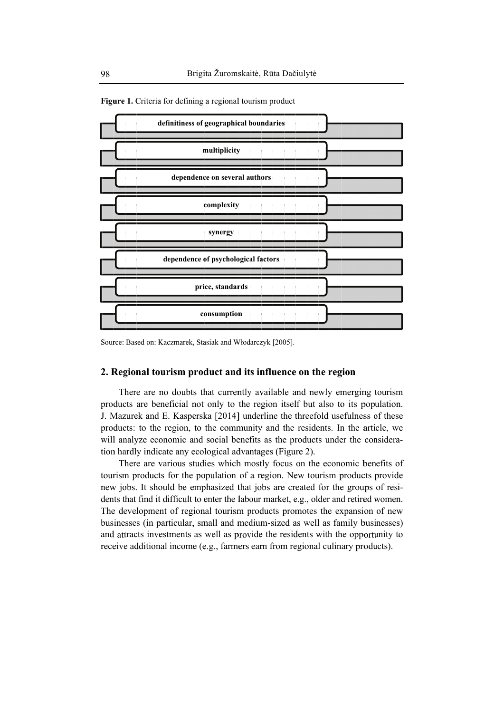

Figure 1. Criteria for defining a regional tourism product

Source: Based on: Kaczmarek, Stasiak and Włodarczyk [2005].

## 2. Regional tourism product and its influence on the region

There are no doubts that currently available and newly emerging tourism products are beneficial not only to the region itself but also to its population. J. Mazurek and E. Kasperska [2014] underline the threefold usefulness of these products: to the region, to the community and the residents. In the article, we will analyze economic and social benefits as the products under the consideration hardly indicate any ecological advantages (Figure 2).

There are various studies which mostly focus on the economic benefits of tourism products for the population of a region. New tourism products provide new jobs. It should be emphasized that jobs are created for the groups of residents that find it difficult to enter the labour market, e.g., older and retired women. The development of regional tourism products promotes the expansion of new businesses (in particular, small and medium-sized as well as family businesses) and attracts investments as well as provide the residents with the opportunity to receive additional income (e.g., farmers earn from regional culinary products).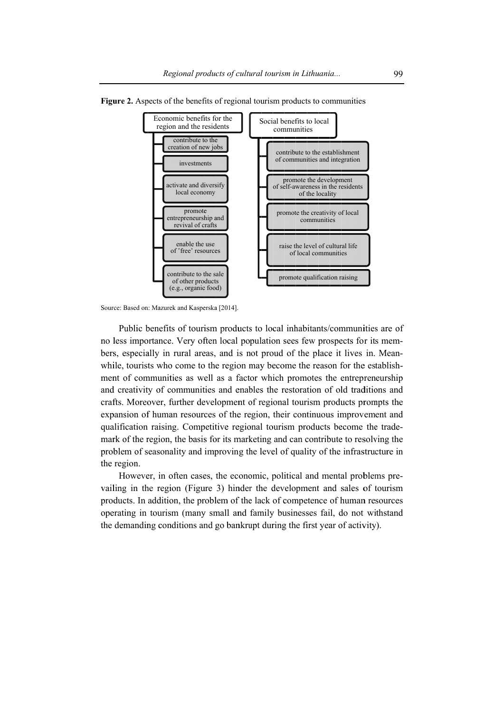

Figure 2. Aspects of the benefits of regional tourism products to communities

Public benefits of tourism products to local inhabitants/communities are of no less importance. Very often local population sees few prospects for its members, especially in rural areas, and is not proud of the place it lives in. Meanwhile, tourists who come to the region may become the reason for the establishment of communities as well as a factor which promotes the entrepreneurship and creativity of communities and enables the restoration of old traditions and crafts. Moreover, further development of regional tourism products prompts the expansion of human resources of the region, their continuous improvement and qualification raising. Competitive regional tourism products become the trademark of the region, the basis for its marketing and can contribute to resolving the problem of seasonality and improving the level of quality of the infrastructure in the region.

However, in often cases, the economic, political and mental problems prevailing in the region (Figure 3) hinder the development and sales of tourism products. In addition, the problem of the lack of competence of human resources operating in tourism (many small and family businesses fail, do not withstand the demanding conditions and go bankrupt during the first year of activity).

Source: Based on: Mazurek and Kasperska [2014].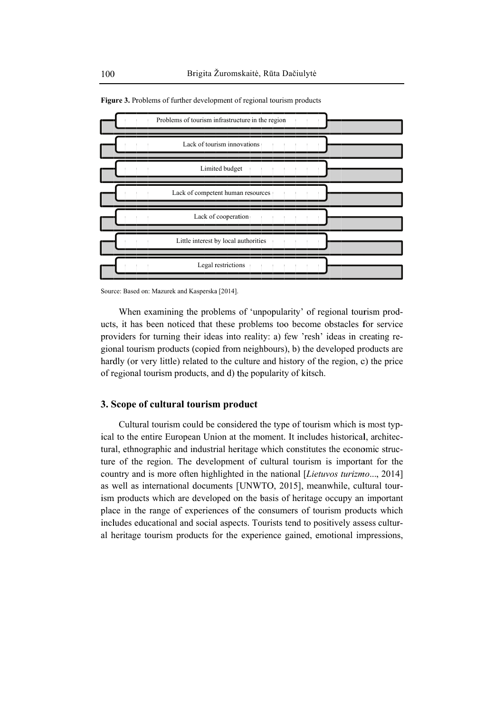

Figure 3. Problems of further development of regional tourism products

Source: Based on: Mazurek and Kasperska [2014].

When examining the problems of 'unpopularity' of regional tourism products, it has been noticed that these problems too become obstacles for service providers for turning their ideas into reality: a) few 'resh' ideas in creating regional tourism products (copied from neighbours), b) the developed products are hardly (or very little) related to the culture and history of the region, c) the price of regional tourism products, and d) the popularity of kitsch.

## 3. Scope of cultural tourism product

Cultural tourism could be considered the type of tourism which is most typical to the entire European Union at the moment. It includes historical, architectural, ethnographic and industrial heritage which constitutes the economic structure of the region. The development of cultural tourism is important for the country and is more often highlighted in the national [Lietuvos turizmo..., 2014] as well as international documents [UNWTO, 2015], meanwhile, cultural tourism products which are developed on the basis of heritage occupy an important place in the range of experiences of the consumers of tourism products which includes educational and social aspects. Tourists tend to positively assess cultural heritage tourism products for the experience gained, emotional impressions,

100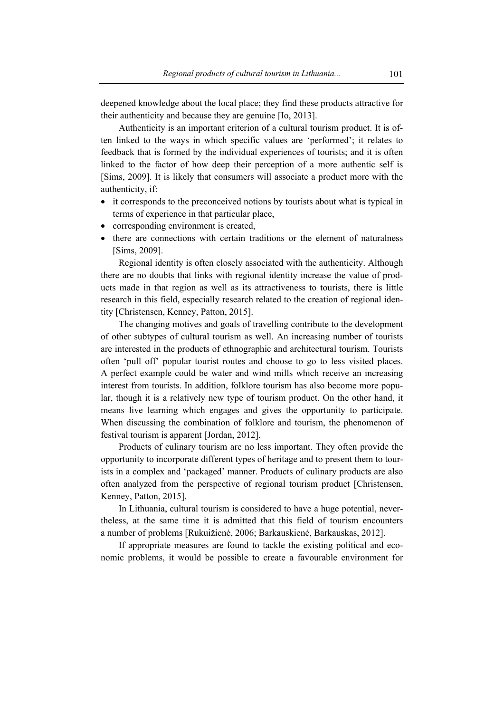deepened knowledge about the local place; they find these products attractive for their authenticity and because they are genuine [Io, 2013].

Authenticity is an important criterion of a cultural tourism product. It is often linked to the ways in which specific values are 'performed'; it relates to feedback that is formed by the individual experiences of tourists; and it is often linked to the factor of how deep their perception of a more authentic self is [Sims, 2009]. It is likely that consumers will associate a product more with the authenticity, if:

- it corresponds to the preconceived notions by tourists about what is typical in terms of experience in that particular place,
- corresponding environment is created,
- there are connections with certain traditions or the element of naturalness [Sims, 2009].

Regional identity is often closely associated with the authenticity. Although there are no doubts that links with regional identity increase the value of products made in that region as well as its attractiveness to tourists, there is little research in this field, especially research related to the creation of regional identity [Christensen, Kenney, Patton, 2015].

The changing motives and goals of travelling contribute to the development of other subtypes of cultural tourism as well. An increasing number of tourists are interested in the products of ethnographic and architectural tourism. Tourists often 'pull off' popular tourist routes and choose to go to less visited places. A perfect example could be water and wind mills which receive an increasing interest from tourists. In addition, folklore tourism has also become more popular, though it is a relatively new type of tourism product. On the other hand, it means live learning which engages and gives the opportunity to participate. When discussing the combination of folklore and tourism, the phenomenon of festival tourism is apparent [Jordan, 2012].

Products of culinary tourism are no less important. They often provide the opportunity to incorporate different types of heritage and to present them to tourists in a complex and 'packaged' manner. Products of culinary products are also often analyzed from the perspective of regional tourism product [Christensen, Kenney, Patton, 2015].

In Lithuania, cultural tourism is considered to have a huge potential, nevertheless, at the same time it is admitted that this field of tourism encounters a number of problems [Rukuižienė, 2006; Barkauskienė, Barkauskas, 2012].

If appropriate measures are found to tackle the existing political and economic problems, it would be possible to create a favourable environment for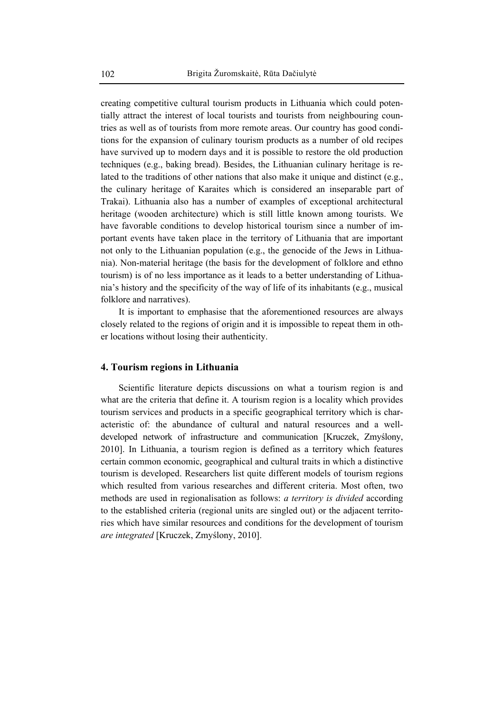creating competitive cultural tourism products in Lithuania which could potentially attract the interest of local tourists and tourists from neighbouring countries as well as of tourists from more remote areas. Our country has good conditions for the expansion of culinary tourism products as a number of old recipes have survived up to modern days and it is possible to restore the old production techniques (e.g., baking bread). Besides, the Lithuanian culinary heritage is related to the traditions of other nations that also make it unique and distinct (e.g., the culinary heritage of Karaites which is considered an inseparable part of Trakai). Lithuania also has a number of examples of exceptional architectural heritage (wooden architecture) which is still little known among tourists. We have favorable conditions to develop historical tourism since a number of important events have taken place in the territory of Lithuania that are important not only to the Lithuanian population (e.g., the genocide of the Jews in Lithuania). Non-material heritage (the basis for the development of folklore and ethno tourism) is of no less importance as it leads to a better understanding of Lithuania's history and the specificity of the way of life of its inhabitants (e.g., musical folklore and narratives).

It is important to emphasise that the aforementioned resources are always closely related to the regions of origin and it is impossible to repeat them in other locations without losing their authenticity.

#### **4. Tourism regions in Lithuania**

Scientific literature depicts discussions on what a tourism region is and what are the criteria that define it. A tourism region is a locality which provides tourism services and products in a specific geographical territory which is characteristic of: the abundance of cultural and natural resources and a welldeveloped network of infrastructure and communication [Kruczek, Zmyślony, 2010]. In Lithuania, a tourism region is defined as a territory which features certain common economic, geographical and cultural traits in which a distinctive tourism is developed. Researchers list quite different models of tourism regions which resulted from various researches and different criteria. Most often, two methods are used in regionalisation as follows: *a territory is divided* according to the established criteria (regional units are singled out) or the adjacent territories which have similar resources and conditions for the development of tourism *are integrated* [Kruczek, Zmyślony, 2010].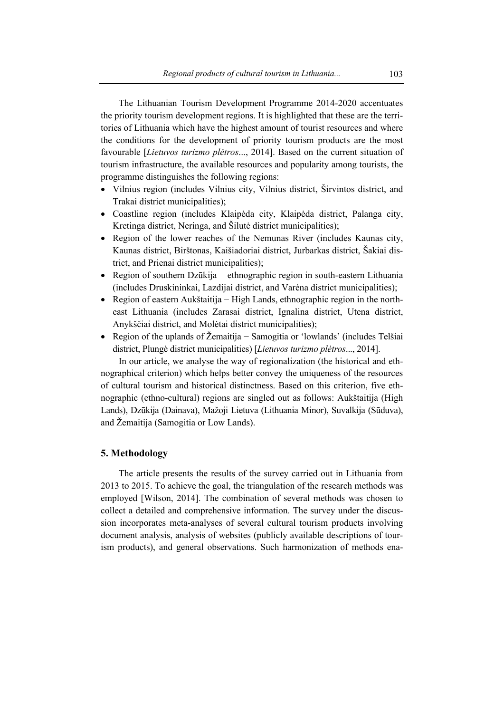The Lithuanian Tourism Development Programme 2014-2020 accentuates the priority tourism development regions. It is highlighted that these are the territories of Lithuania which have the highest amount of tourist resources and where the conditions for the development of priority tourism products are the most favourable [*Lietuvos turizmo plėtros*..., 2014]. Based on the current situation of tourism infrastructure, the available resources and popularity among tourists, the programme distinguishes the following regions:

- Vilnius region (includes Vilnius city, Vilnius district, Širvintos district, and Trakai district municipalities);
- Coastline region (includes Klaipėda city, Klaipėda district, Palanga city, Kretinga district, Neringa, and Šilutė district municipalities);
- Region of the lower reaches of the Nemunas River (includes Kaunas city, Kaunas district, Birštonas, Kaišiadoriai district, Jurbarkas district, Šakiai district, and Prienai district municipalities);
- Region of southern Dzūkija − ethnographic region in south-eastern Lithuania (includes Druskininkai, Lazdijai district, and Varėna district municipalities);
- Region of eastern Aukštaitija − High Lands, ethnographic region in the northeast Lithuania (includes Zarasai district, Ignalina district, Utena district, Anykščiai district, and Molėtai district municipalities);
- Region of the uplands of Žemaitija − Samogitia or 'lowlands' (includes Telšiai district, Plungė district municipalities) [*Lietuvos turizmo plėtros*..., 2014].

In our article, we analyse the way of regionalization (the historical and ethnographical criterion) which helps better convey the uniqueness of the resources of cultural tourism and historical distinctness. Based on this criterion, five ethnographic (ethno-cultural) regions are singled out as follows: Aukštaitija (High Lands), Dzūkija (Dainava), Mažoji Lietuva (Lithuania Minor), Suvalkija (Sūduva), and Žemaitija (Samogitia or Low Lands).

### **5. Methodology**

The article presents the results of the survey carried out in Lithuania from 2013 to 2015. To achieve the goal, the triangulation of the research methods was employed [Wilson, 2014]. The combination of several methods was chosen to collect a detailed and comprehensive information. The survey under the discussion incorporates meta-analyses of several cultural tourism products involving document analysis, analysis of websites (publicly available descriptions of tourism products), and general observations. Such harmonization of methods ena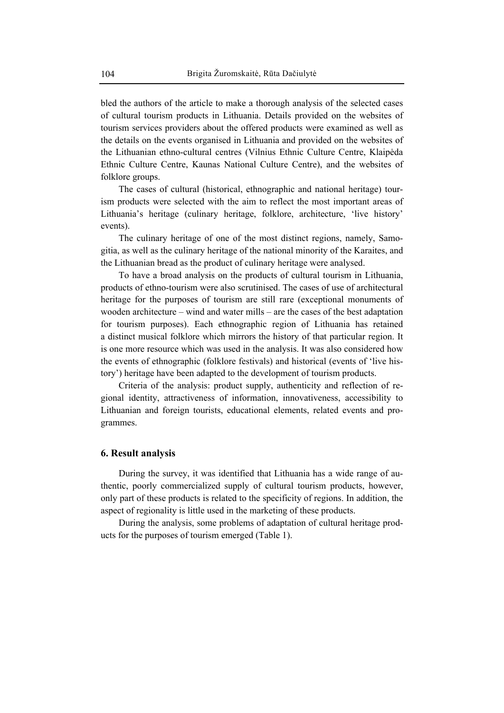bled the authors of the article to make a thorough analysis of the selected cases of cultural tourism products in Lithuania. Details provided on the websites of tourism services providers about the offered products were examined as well as the details on the events organised in Lithuania and provided on the websites of the Lithuanian ethno-cultural centres (Vilnius Ethnic Culture Centre, Klaipėda Ethnic Culture Centre, Kaunas National Culture Centre), and the websites of folklore groups.

The cases of cultural (historical, ethnographic and national heritage) tourism products were selected with the aim to reflect the most important areas of Lithuania's heritage (culinary heritage, folklore, architecture, 'live history' events).

The culinary heritage of one of the most distinct regions, namely, Samogitia, as well as the culinary heritage of the national minority of the Karaites, and the Lithuanian bread as the product of culinary heritage were analysed.

To have a broad analysis on the products of cultural tourism in Lithuania, products of ethno-tourism were also scrutinised. The cases of use of architectural heritage for the purposes of tourism are still rare (exceptional monuments of wooden architecture – wind and water mills – are the cases of the best adaptation for tourism purposes). Each ethnographic region of Lithuania has retained a distinct musical folklore which mirrors the history of that particular region. It is one more resource which was used in the analysis. It was also considered how the events of ethnographic (folklore festivals) and historical (events of 'live history') heritage have been adapted to the development of tourism products.

Criteria of the analysis: product supply, authenticity and reflection of regional identity, attractiveness of information, innovativeness, accessibility to Lithuanian and foreign tourists, educational elements, related events and programmes.

#### **6. Result analysis**

During the survey, it was identified that Lithuania has a wide range of authentic, poorly commercialized supply of cultural tourism products, however, only part of these products is related to the specificity of regions. In addition, the aspect of regionality is little used in the marketing of these products.

During the analysis, some problems of adaptation of cultural heritage products for the purposes of tourism emerged (Table 1).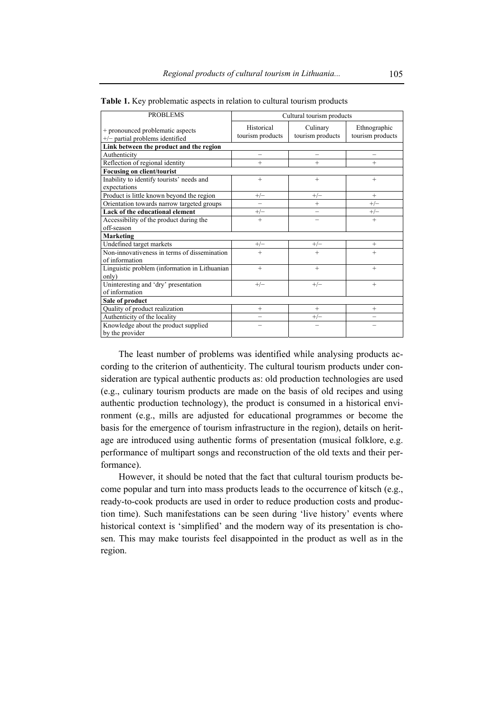| <b>PROBLEMS</b>                                                     | Cultural tourism products      |                              |                                  |
|---------------------------------------------------------------------|--------------------------------|------------------------------|----------------------------------|
| + pronounced problematic aspects<br>+/- partial problems identified | Historical<br>tourism products | Culinary<br>tourism products | Ethnographic<br>tourism products |
| Link between the product and the region                             |                                |                              |                                  |
| Authenticity                                                        | $\overline{\phantom{0}}$       | $\overline{\phantom{0}}$     |                                  |
| Reflection of regional identity                                     | $^{+}$                         | $^{+}$                       | $^{+}$                           |
| <b>Focusing on client/tourist</b>                                   |                                |                              |                                  |
| Inability to identify tourists' needs and                           | $^{+}$                         | $^{+}$                       | $^{+}$                           |
| expectations                                                        |                                |                              |                                  |
| Product is little known beyond the region                           | $+/-$                          | $+/-$                        | $^{+}$                           |
| Orientation towards narrow targeted groups                          |                                | $^{+}$                       | $+/-$                            |
| Lack of the educational element                                     | $+/-$                          |                              | $+/-$                            |
| Accessibility of the product during the                             | $+$                            |                              | $^{+}$                           |
| off-season                                                          |                                |                              |                                  |
| <b>Marketing</b>                                                    |                                |                              |                                  |
| Undefined target markets                                            | $+/-$                          | $+/-$                        | $^{+}$                           |
| Non-innovativeness in terms of dissemination                        | $\overline{+}$                 | $\overline{+}$               | $^{+}$                           |
| of information                                                      |                                |                              |                                  |
| Linguistic problem (information in Lithuanian                       | $+$                            | $+$                          | $+$                              |
| only)                                                               |                                |                              |                                  |
| Uninteresting and 'dry' presentation                                | $+/-$                          | $+/-$                        | $^{+}$                           |
| of information                                                      |                                |                              |                                  |
| Sale of product                                                     |                                |                              |                                  |
| Quality of product realization                                      | $^{+}$                         | $^{+}$                       | $+$                              |
| Authenticity of the locality                                        |                                | $+/-$                        |                                  |
| Knowledge about the product supplied                                |                                |                              |                                  |
| by the provider                                                     |                                |                              |                                  |

**Table 1.** Key problematic aspects in relation to cultural tourism products

The least number of problems was identified while analysing products according to the criterion of authenticity. The cultural tourism products under consideration are typical authentic products as: old production technologies are used (e.g., culinary tourism products are made on the basis of old recipes and using authentic production technology), the product is consumed in a historical environment (e.g., mills are adjusted for educational programmes or become the basis for the emergence of tourism infrastructure in the region), details on heritage are introduced using authentic forms of presentation (musical folklore, e.g. performance of multipart songs and reconstruction of the old texts and their performance).

However, it should be noted that the fact that cultural tourism products become popular and turn into mass products leads to the occurrence of kitsch (e.g., ready-to-cook products are used in order to reduce production costs and production time). Such manifestations can be seen during 'live history' events where historical context is 'simplified' and the modern way of its presentation is chosen. This may make tourists feel disappointed in the product as well as in the region.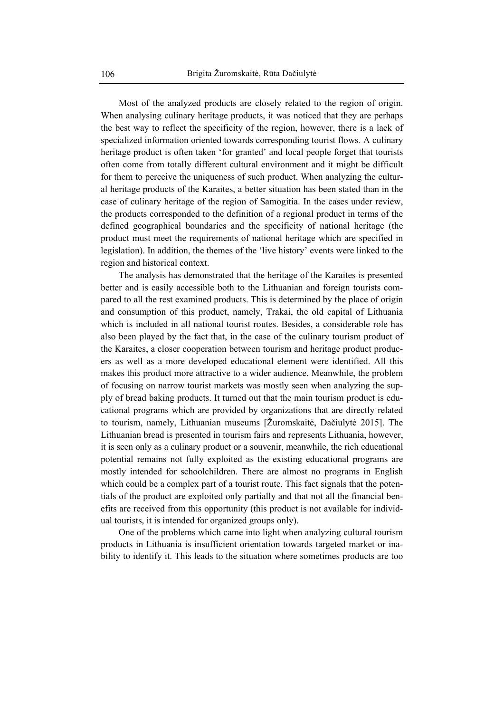Most of the analyzed products are closely related to the region of origin. When analysing culinary heritage products, it was noticed that they are perhaps the best way to reflect the specificity of the region, however, there is a lack of specialized information oriented towards corresponding tourist flows. A culinary heritage product is often taken 'for granted' and local people forget that tourists often come from totally different cultural environment and it might be difficult for them to perceive the uniqueness of such product. When analyzing the cultural heritage products of the Karaites, a better situation has been stated than in the case of culinary heritage of the region of Samogitia. In the cases under review, the products corresponded to the definition of a regional product in terms of the defined geographical boundaries and the specificity of national heritage (the product must meet the requirements of national heritage which are specified in legislation). In addition, the themes of the 'live history' events were linked to the region and historical context.

The analysis has demonstrated that the heritage of the Karaites is presented better and is easily accessible both to the Lithuanian and foreign tourists compared to all the rest examined products. This is determined by the place of origin and consumption of this product, namely, Trakai, the old capital of Lithuania which is included in all national tourist routes. Besides, a considerable role has also been played by the fact that, in the case of the culinary tourism product of the Karaites, a closer cooperation between tourism and heritage product producers as well as a more developed educational element were identified. All this makes this product more attractive to a wider audience. Meanwhile, the problem of focusing on narrow tourist markets was mostly seen when analyzing the supply of bread baking products. It turned out that the main tourism product is educational programs which are provided by organizations that are directly related to tourism, namely, Lithuanian museums [Žuromskaitė, Dačiulytė 2015]. The Lithuanian bread is presented in tourism fairs and represents Lithuania, however, it is seen only as a culinary product or a souvenir, meanwhile, the rich educational potential remains not fully exploited as the existing educational programs are mostly intended for schoolchildren. There are almost no programs in English which could be a complex part of a tourist route. This fact signals that the potentials of the product are exploited only partially and that not all the financial benefits are received from this opportunity (this product is not available for individual tourists, it is intended for organized groups only).

One of the problems which came into light when analyzing cultural tourism products in Lithuania is insufficient orientation towards targeted market or inability to identify it. This leads to the situation where sometimes products are too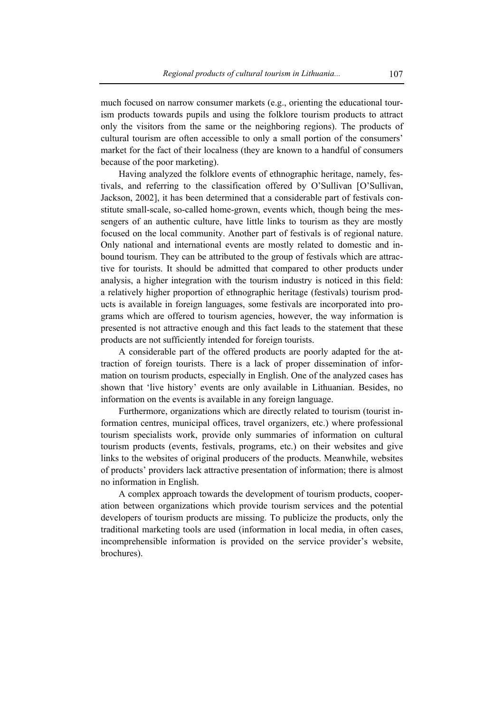much focused on narrow consumer markets (e.g., orienting the educational tourism products towards pupils and using the folklore tourism products to attract only the visitors from the same or the neighboring regions). The products of cultural tourism are often accessible to only a small portion of the consumers' market for the fact of their localness (they are known to a handful of consumers because of the poor marketing).

Having analyzed the folklore events of ethnographic heritage, namely, festivals, and referring to the classification offered by O'Sullivan [O'Sullivan, Jackson, 2002], it has been determined that a considerable part of festivals constitute small-scale, so-called home-grown, events which, though being the messengers of an authentic culture, have little links to tourism as they are mostly focused on the local community. Another part of festivals is of regional nature. Only national and international events are mostly related to domestic and inbound tourism. They can be attributed to the group of festivals which are attractive for tourists. It should be admitted that compared to other products under analysis, a higher integration with the tourism industry is noticed in this field: a relatively higher proportion of ethnographic heritage (festivals) tourism products is available in foreign languages, some festivals are incorporated into programs which are offered to tourism agencies, however, the way information is presented is not attractive enough and this fact leads to the statement that these products are not sufficiently intended for foreign tourists.

A considerable part of the offered products are poorly adapted for the attraction of foreign tourists. There is a lack of proper dissemination of information on tourism products, especially in English. One of the analyzed cases has shown that 'live history' events are only available in Lithuanian. Besides, no information on the events is available in any foreign language.

Furthermore, organizations which are directly related to tourism (tourist information centres, municipal offices, travel organizers, etc.) where professional tourism specialists work, provide only summaries of information on cultural tourism products (events, festivals, programs, etc.) on their websites and give links to the websites of original producers of the products. Meanwhile, websites of products' providers lack attractive presentation of information; there is almost no information in English.

A complex approach towards the development of tourism products, cooperation between organizations which provide tourism services and the potential developers of tourism products are missing. To publicize the products, only the traditional marketing tools are used (information in local media, in often cases, incomprehensible information is provided on the service provider's website, brochures).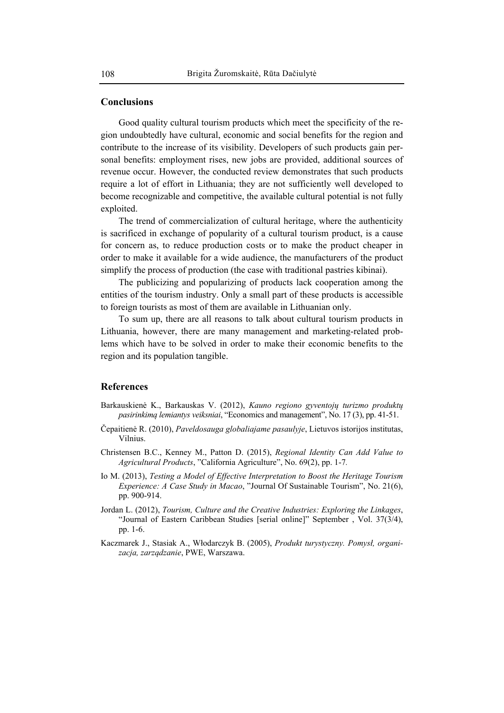#### **Conclusions**

Good quality cultural tourism products which meet the specificity of the region undoubtedly have cultural, economic and social benefits for the region and contribute to the increase of its visibility. Developers of such products gain personal benefits: employment rises, new jobs are provided, additional sources of revenue occur. However, the conducted review demonstrates that such products require a lot of effort in Lithuania; they are not sufficiently well developed to become recognizable and competitive, the available cultural potential is not fully exploited.

The trend of commercialization of cultural heritage, where the authenticity is sacrificed in exchange of popularity of a cultural tourism product, is a cause for concern as, to reduce production costs or to make the product cheaper in order to make it available for a wide audience, the manufacturers of the product simplify the process of production (the case with traditional pastries kibinai).

The publicizing and popularizing of products lack cooperation among the entities of the tourism industry. Only a small part of these products is accessible to foreign tourists as most of them are available in Lithuanian only.

To sum up, there are all reasons to talk about cultural tourism products in Lithuania, however, there are many management and marketing-related problems which have to be solved in order to make their economic benefits to the region and its population tangible.

#### **References**

- Barkauskienė K., Barkauskas V. (2012), *Kauno regiono gyventojų turizmo produktų pasirinkimą lemiantys veiksniai*, "Economics and management", No. 17 (3), pp. 41-51.
- Čepaitienė R. (2010), *Paveldosauga globaliajame pasaulyje*, Lietuvos istorijos institutas, Vilnius.
- Christensen B.C., Kenney M., Patton D. (2015), *Regional Identity Can Add Value to Agricultural Products*, "California Agriculture", No. 69(2), pp. 1-7*.*
- Io M. (2013), *Testing a Model of Effective Interpretation to Boost the Heritage Tourism Experience: A Case Study in Macao*, "Journal Of Sustainable Tourism", No. 21(6), pp. 900-914.
- Jordan L. (2012), *Tourism, Culture and the Creative Industries: Exploring the Linkages*, "Journal of Eastern Caribbean Studies [serial online]" September , Vol. 37(3/4), pp. 1-6.
- Kaczmarek J., Stasiak A., Włodarczyk B. (2005), *Produkt turystyczny. Pomysł, organizacja, zarządzanie*, PWE, Warszawa.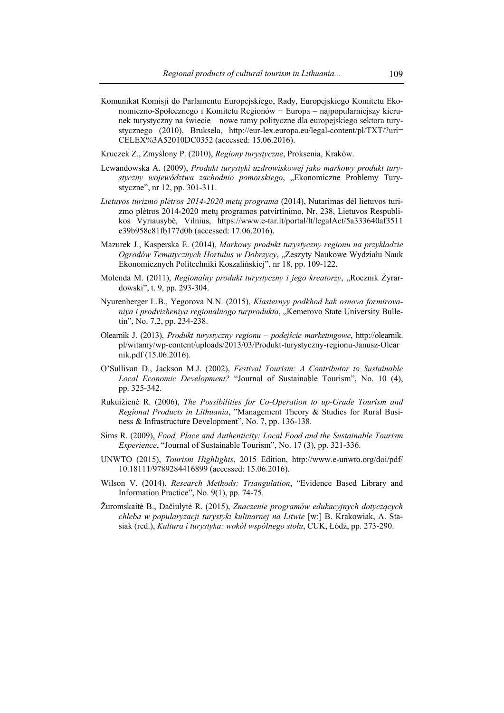- Komunikat Komisji do Parlamentu Europejskiego, Rady, Europejskiego Komitetu Ekonomiczno-Społecznego i Komitetu Regionów − Europa – najpopularniejszy kierunek turystyczny na świecie – nowe ramy polityczne dla europejskiego sektora turystycznego (2010), Bruksela, http://eur-lex.europa.eu/legal-content/pl/TXT/?uri= CELEX%3A52010DC0352 (accessed: 15.06.2016).
- Kruczek Z., Zmyślony P. (2010), *Regiony turystyczne*, Proksenia, Kraków.
- Lewandowska A. (2009), *Produkt turystyki uzdrowiskowej jako markowy produkt tury*styczny województwa zachodnio pomorskiego, "Ekonomiczne Problemy Turystyczne", nr 12, pp. 301-311.
- *Lietuvos turizmo plėtros 2014-2020 metų programa* (2014), Nutarimas dėl lietuvos turizmo plėtros 2014-2020 metų programos patvirtinimo, Nr. 238, Lietuvos Respublikos Vyriausybė, Vilnius, https://www.e-tar.lt/portal/lt/legalAct/5a333640af3511 e39b958c81fb177d0b (accessed: 17.06.2016).
- Mazurek J., Kasperska E. (2014), *Markowy produkt turystyczny regionu na przykładzie*  Ogrodów Tematycznych Hortulus w Dobrzycy, "Zeszyty Naukowe Wydziału Nauk Ekonomicznych Politechniki Koszalińskiej", nr 18, pp. 109-122.
- Molenda M. (2011), *Regionalny produkt turystyczny i jego kreatorzy*, "Rocznik Żyrardowski", t. 9, pp. 293-304.
- Nyurenberger L.B., Yegorova N.N. (2015), *Klasternyy podkhod kak osnova formirovaniya i prodvizheniya regionalnogo turprodukta*, "Kemerovo State University Bulletin", No. 7.2, pp. 234-238.
- Olearnik J. (2013), *Produkt turystyczny regionu podejście marketingowe*, http://olearnik. pl/witamy/wp-content/uploads/2013/03/Produkt-turystyczny-regionu-Janusz-Olear nik.pdf (15.06.2016).
- O'Sullivan D., Jackson M.J. (2002), *Festival Tourism: A Contributor to Sustainable Local Economic Development?* "Journal of Sustainable Tourism", No. 10 (4), pp. 325-342.
- Rukuižienė R. (2006), *The Possibilities for Co-Operation to up-Grade Tourism and Regional Products in Lithuania*, "Management Theory & Studies for Rural Business & Infrastructure Development", No. 7, pp. 136-138.
- Sims R. (2009), *Food, Place and Authenticity: Local Food and the Sustainable Tourism Experience*, "Journal of Sustainable Tourism", No. 17 (3), pp. 321-336.
- UNWTO (2015), *Tourism Highlights*, 2015 Edition, http://www.e-unwto.org/doi/pdf/ 10.18111/9789284416899 (accessed: 15.06.2016).
- Wilson V. (2014), *Research Methods: Triangulation*, "Evidence Based Library and Information Practice", No. 9(1), pp. 74-75.
- Žuromskaitė B., Dačiulytė R. (2015), *Znaczenie programów edukacyjnych dotyczących chleba w popularyzacji turystyki kulinarnej na Litwie* [w:] B. Krakowiak, A. Stasiak (red.), *Kultura i turystyka: wokół wspólnego stołu*, CUK, Łódź, pp. 273-290.